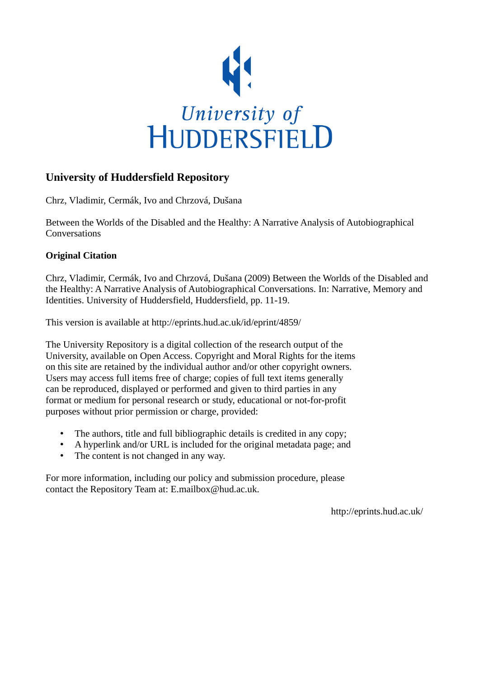

# **University of Huddersfield Repository**

Chrz, Vladimir, Cermák, Ivo and Chrzová, Dušana

Between the Worlds of the Disabled and the Healthy: A Narrative Analysis of Autobiographical Conversations

# **Original Citation**

Chrz, Vladimir, Cermák, Ivo and Chrzová, Dušana (2009) Between the Worlds of the Disabled and the Healthy: A Narrative Analysis of Autobiographical Conversations. In: Narrative, Memory and Identities. University of Huddersfield, Huddersfield, pp. 11-19.

This version is available at http://eprints.hud.ac.uk/id/eprint/4859/

The University Repository is a digital collection of the research output of the University, available on Open Access. Copyright and Moral Rights for the items on this site are retained by the individual author and/or other copyright owners. Users may access full items free of charge; copies of full text items generally can be reproduced, displayed or performed and given to third parties in any format or medium for personal research or study, educational or not-for-profit purposes without prior permission or charge, provided:

- The authors, title and full bibliographic details is credited in any copy;
- A hyperlink and/or URL is included for the original metadata page; and
- The content is not changed in any way.

For more information, including our policy and submission procedure, please contact the Repository Team at: E.mailbox@hud.ac.uk.

http://eprints.hud.ac.uk/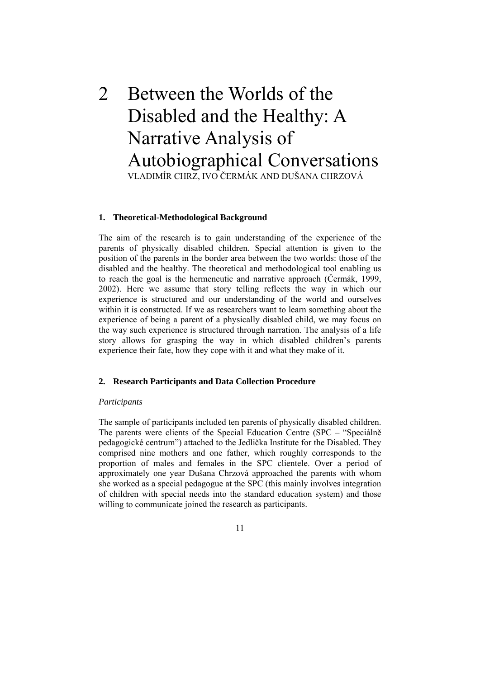# 2 Between the Worlds of the Disabled and the Healthy: A Narrative Analysis of Autobiographical Conversations VLADIMÍR CHRZ, IVO ČERMÁK AND DUŠANA CHRZOVÁ

#### **. Theoretical-Methodological Background 1**

story allows for grasping the way in which disabled children's parents experience their fate, how they cope with it and what they make of it. The aim of the research is to gain understanding of the experience of the parents of physically disabled children. Special attention is given to the position of the parents in the border area between the two worlds: those of the disabled and the healthy. The theoretical and methodological tool enabling us to reach the goal is the hermeneutic and narrative approach (Čermák, 1999, 2002). Here we assume that story telling reflects the way in which our experience is structured and our understanding of the world and ourselves within it is constructed. If we as researchers want to learn something about the experience of being a parent of a physically disabled child, we may focus on the way such experience is structured through narration. The analysis of a life

#### **. Research Participants and Data Collection Procedure 2**

#### **Participants**

of children with special needs into the standard education system) and those willing to communicate joined the research as participants. The sample of participants included ten parents of physically disabled children. The parents were clients of the Special Education Centre (SPC – "Speciálně pedagogické centrum") attached to the Jedlička Institute for the Disabled. They comprised nine mothers and one father, which roughly corresponds to the proportion of males and females in the SPC clientele. Over a period of approximately one year Dušana Chrzová approached the parents with whom she worked as a special pedagogue at the SPC (this mainly involves integration

11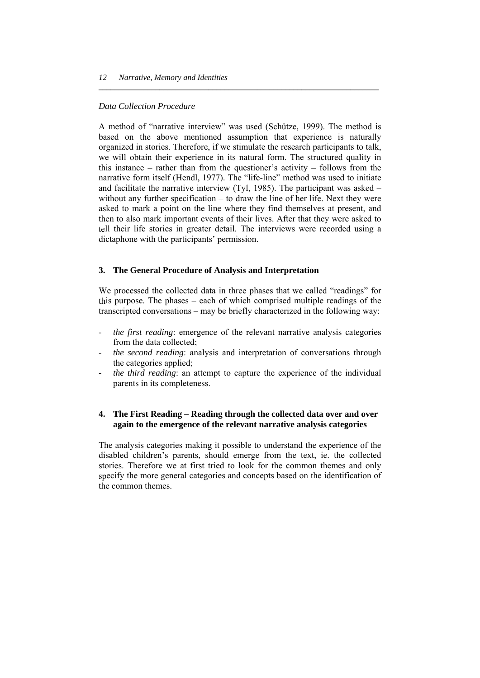## *Data Collection Procedure*

then to also mark important events of their lives. After that they were asked to tell their life stories in greater detail. The interviews were recorded using a dictaphone with the participants' permission. A method of "narrative interview" was used (Schütze, 1999). The method is based on the above mentioned assumption that experience is naturally organized in stories. Therefore, if we stimulate the research participants to talk, we will obtain their experience in its natural form. The structured quality in this instance – rather than from the questioner's activity – follows from the narrative form itself (Hendl, 1977). The "life-line" method was used to initiate and facilitate the narrative interview (Tyl, 1985). The participant was asked – without any further specification – to draw the line of her life. Next they were asked to mark a point on the line where they find themselves at present, and

*\_\_\_\_\_\_\_\_\_\_\_\_\_\_\_\_\_\_\_\_\_\_\_\_\_\_\_\_\_\_\_\_\_\_\_\_\_\_\_\_\_\_\_\_\_\_\_\_\_\_\_\_\_\_\_\_\_\_\_\_\_\_\_\_\_\_\_\_\_* 

# **3. The General Procedure of Analysis and Interpretation**

this purpose. The phases  $-$  each of which comprised multiple readings of the We processed the collected data in three phases that we called "readings" for transcripted conversations – may be briefly characterized in the following way:

- *the first reading*: emergence of the relevant narrative analysis categories from the data collected;
- *the second reading*: analysis and interpretation of conversations through the categories applied;
- *the third reading*: an attempt to capture the experience of the individual parents in its completeness. -

# **. The First Reading – Reading through the collected data over and over 4 again to the emergence of the relevant narrative analysis categories**

stories. Therefore we at first tried to look for the common themes and only specify the more general categories and concepts based on the identification of the common themes. The analysis categories making it possible to understand the experience of the disabled children's parents, should emerge from the text, ie. the collected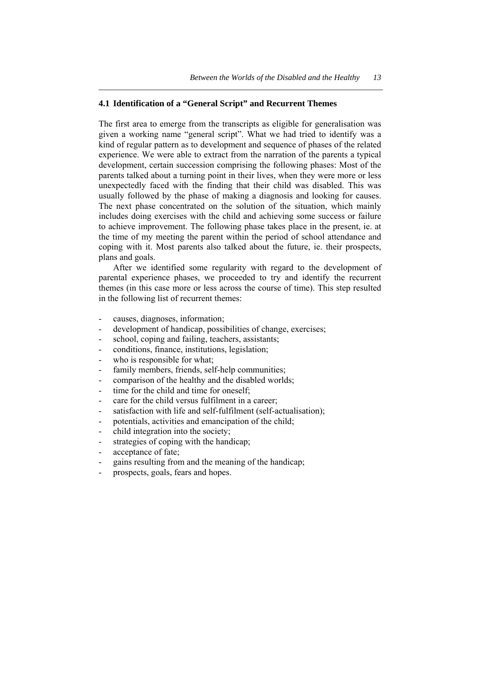## **4.1 Identification of a "General Script" and Recurrent Themes**

The first area to emerge from the transcripts as eligible for generalisation was given a working name "general script". What we had tried to identify was a kind of regular pattern as to development and sequence of phases of the related experience. We were able to extract from the narration of the parents a typical development, certain succession comprising the following phases: Most of the parents talked about a turning point in their lives, when they were more or less unexpectedly faced with the finding that their child was disabled. This was usually followed by the phase of making a diagnosis and looking for causes. The next phase concentrated on the solution of the situation, which mainly includes doing exercises with the child and achieving some success or failure to achieve improvement. The following phase takes place in the present, ie. at the time of my meeting the parent within the period of school attendance and coping with it. Most parents also talked about the future, ie. their prospects, plans and goals.

*\_\_\_\_\_\_\_\_\_\_\_\_\_\_\_\_\_\_\_\_\_\_\_\_\_\_\_\_\_\_\_\_\_\_\_\_\_\_\_\_\_\_\_\_\_\_\_\_\_\_\_\_\_\_\_\_\_\_\_\_\_\_\_\_\_\_\_\_\_\_* 

 After we identified some regularity with regard to the development of parental experience phases, we proceeded to try and identify the recurrent themes (in this case more or less across the course of time). This step resulted in the following list of recurrent themes:

- causes, diagnoses, information;
- development of handicap, possibilities of change, exercises;
- school, coping and failing, teachers, assistants;
- conditions, finance, institutions, legislation;
- who is responsible for what;
- family members, friends, self-help communities;
- comparison of the healthy and the disabled worlds;
- time for the child and time for oneself;
- care for the child versus fulfilment in a career;
- satisfaction with life and self-fulfilment (self-actualisation):
- potentials, activities and emancipation of the child;
- child integration into the society;
- strategies of coping with the handicap;
- acceptance of fate:
- gains resulting from and the meaning of the handicap;
- prospects, goals, fears and hopes.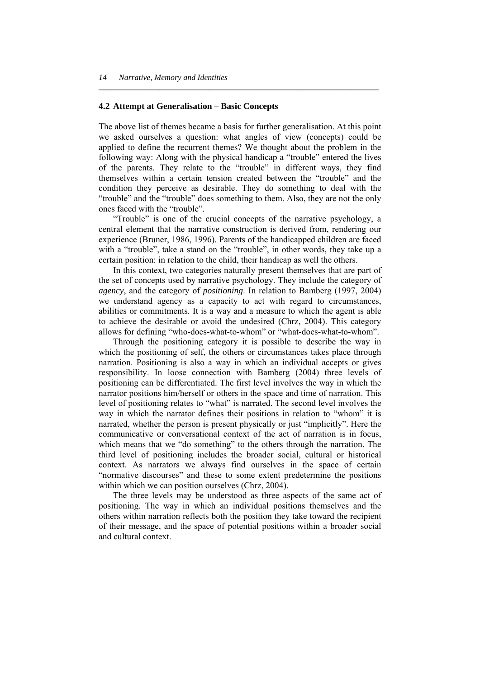#### **4.2 Attempt at Generalisation – Basic Concepts**

The above list of themes became a basis for further generalisation. At this point we asked ourselves a question: what angles of view (concepts) could be applied to define the recurrent themes? We thought about the problem in the following way: Along with the physical handicap a "trouble" entered the lives of the parents. They relate to the "trouble" in different ways, they find themselves within a certain tension created between the "trouble" and the condition they perceive as desirable. They do something to deal with the "trouble" and the "trouble" does something to them. Also, they are not the only ones faced with the "trouble".

*\_\_\_\_\_\_\_\_\_\_\_\_\_\_\_\_\_\_\_\_\_\_\_\_\_\_\_\_\_\_\_\_\_\_\_\_\_\_\_\_\_\_\_\_\_\_\_\_\_\_\_\_\_\_\_\_\_\_\_\_\_\_\_\_\_\_\_\_\_* 

 "Trouble" is one of the crucial concepts of the narrative psychology, a central element that the narrative construction is derived from, rendering our experience (Bruner, 1986, 1996). Parents of the handicapped children are faced with a "trouble", take a stand on the "trouble", in other words, they take up a certain position: in relation to the child, their handicap as well the others.

 In this context, two categories naturally present themselves that are part of the set of concepts used by narrative psychology. They include the category of *agency*, and the category of *positioning*. In relation to Bamberg (1997, 2004) we understand agency as a capacity to act with regard to circumstances, abilities or commitments. It is a way and a measure to which the agent is able to achieve the desirable or avoid the undesired (Chrz, 2004). This category allows for defining "who-does-what-to-whom" or "what-does-what-to-whom".

 Through the positioning category it is possible to describe the way in which the positioning of self, the others or circumstances takes place through narration. Positioning is also a way in which an individual accepts or gives responsibility. In loose connection with Bamberg (2004) three levels of positioning can be differentiated. The first level involves the way in which the narrator positions him/herself or others in the space and time of narration. This level of positioning relates to "what" is narrated. The second level involves the way in which the narrator defines their positions in relation to "whom" it is narrated, whether the person is present physically or just "implicitly". Here the communicative or conversational context of the act of narration is in focus, which means that we "do something" to the others through the narration. The third level of positioning includes the broader social, cultural or historical context. As narrators we always find ourselves in the space of certain "normative discourses" and these to some extent predetermine the positions within which we can position ourselves (Chrz, 2004).

 The three levels may be understood as three aspects of the same act of positioning. The way in which an individual positions themselves and the others within narration reflects both the position they take toward the recipient of their message, and the space of potential positions within a broader social and cultural context.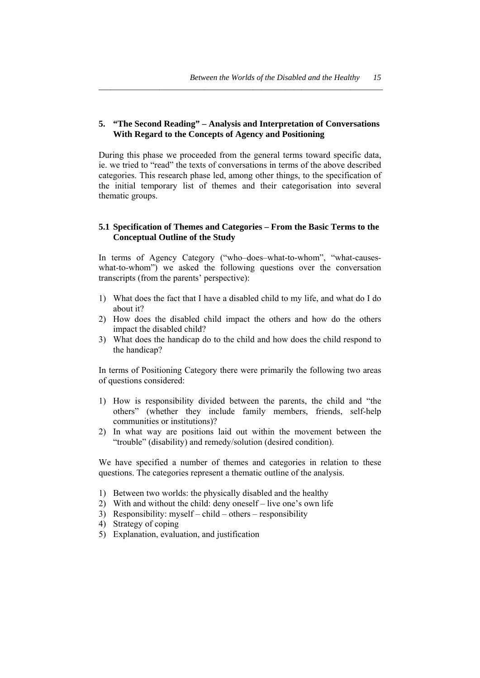# **5. "The Second Reading" – Analysis and Interpretation of Conversations With Regard to the Concepts of Agency and Positioning**

*\_\_\_\_\_\_\_\_\_\_\_\_\_\_\_\_\_\_\_\_\_\_\_\_\_\_\_\_\_\_\_\_\_\_\_\_\_\_\_\_\_\_\_\_\_\_\_\_\_\_\_\_\_\_\_\_\_\_\_\_\_\_\_\_\_\_\_\_\_\_* 

During this phase we proceeded from the general terms toward specific data, ie. we tried to "read" the texts of conversations in terms of the above described categories. This research phase led, among other things, to the specification of the initial temporary list of themes and their categorisation into several thematic groups.

# **5.1 Specification of Themes and Categories – From the Basic Terms to the Conceptual Outline of the Study**

In terms of Agency Category ("who–does–what-to-whom", "what-causeswhat-to-whom") we asked the following questions over the conversation transcripts (from the parents' perspective):

- 1) What does the fact that I have a disabled child to my life, and what do I do about it?
- 2) How does the disabled child impact the others and how do the others impact the disabled child?
- 3) What does the handicap do to the child and how does the child respond to the handicap?

In terms of Positioning Category there were primarily the following two areas of questions considered:

- 1) How is responsibility divided between the parents, the child and "the others" (whether they include family members, friends, self-help communities or institutions)?
- 2) In what way are positions laid out within the movement between the "trouble" (disability) and remedy/solution (desired condition).

We have specified a number of themes and categories in relation to these questions. The categories represent a thematic outline of the analysis.

- 1) Between two worlds: the physically disabled and the healthy
- 2) With and without the child: deny oneself live one's own life
- 3) Responsibility: myself child others responsibility
- 4) Strategy of coping
- 5) Explanation, evaluation, and justification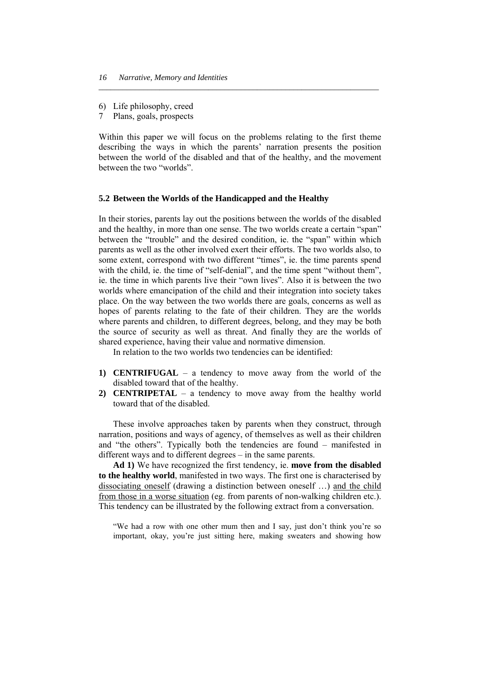- 6) Life philosophy, creed
- 7 Plans, goals, prospects

Within this paper we will focus on the problems relating to the first theme describing the ways in which the parents' narration presents the position between the world of the disabled and that of the healthy, and the movement between the two "worlds".

*\_\_\_\_\_\_\_\_\_\_\_\_\_\_\_\_\_\_\_\_\_\_\_\_\_\_\_\_\_\_\_\_\_\_\_\_\_\_\_\_\_\_\_\_\_\_\_\_\_\_\_\_\_\_\_\_\_\_\_\_\_\_\_\_\_\_\_\_\_* 

#### **5.2 Between the Worlds of the Handicapped and the Healthy**

In their stories, parents lay out the positions between the worlds of the disabled and the healthy, in more than one sense. The two worlds create a certain "span" between the "trouble" and the desired condition, ie. the "span" within which parents as well as the other involved exert their efforts. The two worlds also, to some extent, correspond with two different "times", ie. the time parents spend with the child, ie, the time of "self-denial", and the time spent "without them". ie. the time in which parents live their "own lives". Also it is between the two worlds where emancipation of the child and their integration into society takes place. On the way between the two worlds there are goals, concerns as well as hopes of parents relating to the fate of their children. They are the worlds where parents and children, to different degrees, belong, and they may be both the source of security as well as threat. And finally they are the worlds of shared experience, having their value and normative dimension.

In relation to the two worlds two tendencies can be identified:

- **1) CENTRIFUGAL**  a tendency to move away from the world of the disabled toward that of the healthy.
- **2) CENTRIPETAL**  a tendency to move away from the healthy world toward that of the disabled.

 These involve approaches taken by parents when they construct, through narration, positions and ways of agency, of themselves as well as their children and "the others". Typically both the tendencies are found – manifested in different ways and to different degrees – in the same parents.

 **Ad 1)** We have recognized the first tendency, ie. **move from the disabled to the healthy world**, manifested in two ways. The first one is characterised by dissociating oneself (drawing a distinction between oneself …) and the child from those in a worse situation (eg. from parents of non-walking children etc.). This tendency can be illustrated by the following extract from a conversation.

"We had a row with one other mum then and I say, just don't think you're so important, okay, you're just sitting here, making sweaters and showing how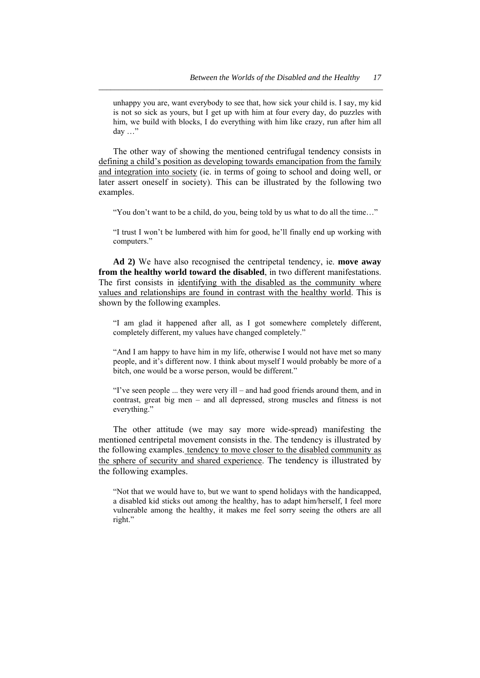unhappy you are, want everybody to see that, how sick your child is. I say, my kid is not so sick as yours, but I get up with him at four every day, do puzzles with him, we build with blocks, I do everything with him like crazy, run after him all day …"

*\_\_\_\_\_\_\_\_\_\_\_\_\_\_\_\_\_\_\_\_\_\_\_\_\_\_\_\_\_\_\_\_\_\_\_\_\_\_\_\_\_\_\_\_\_\_\_\_\_\_\_\_\_\_\_\_\_\_\_\_\_\_\_\_\_\_\_\_\_\_* 

 The other way of showing the mentioned centrifugal tendency consists in defining a child's position as developing towards emancipation from the family and integration into society (ie. in terms of going to school and doing well, or later assert oneself in society). This can be illustrated by the following two examples.

"You don't want to be a child, do you, being told by us what to do all the time…"

"I trust I won't be lumbered with him for good, he'll finally end up working with computers."

 **Ad 2)** We have also recognised the centripetal tendency, ie. **move away from the healthy world toward the disabled**, in two different manifestations. The first consists in identifying with the disabled as the community where values and relationships are found in contrast with the healthy world. This is shown by the following examples.

"I am glad it happened after all, as I got somewhere completely different, completely different, my values have changed completely."

"And I am happy to have him in my life, otherwise I would not have met so many people, and it's different now. I think about myself I would probably be more of a bitch, one would be a worse person, would be different."

"I've seen people ... they were very ill – and had good friends around them, and in contrast, great big men – and all depressed, strong muscles and fitness is not everything."

 The other attitude (we may say more wide-spread) manifesting the mentioned centripetal movement consists in the. The tendency is illustrated by the following examples. tendency to move closer to the disabled community as the sphere of security and shared experience. The tendency is illustrated by the following examples.

"Not that we would have to, but we want to spend holidays with the handicapped, a disabled kid sticks out among the healthy, has to adapt him/herself, I feel more vulnerable among the healthy, it makes me feel sorry seeing the others are all right."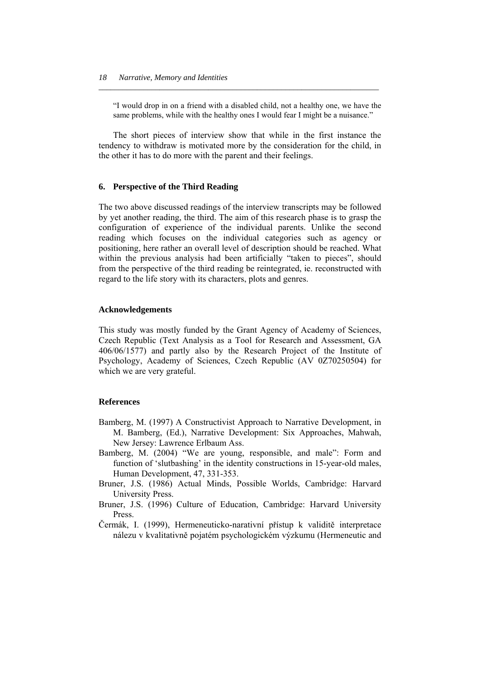"I would drop in on a friend with a disabled child, not a healthy one, we have the same problems, while with the healthy ones I would fear I might be a nuisance."

*\_\_\_\_\_\_\_\_\_\_\_\_\_\_\_\_\_\_\_\_\_\_\_\_\_\_\_\_\_\_\_\_\_\_\_\_\_\_\_\_\_\_\_\_\_\_\_\_\_\_\_\_\_\_\_\_\_\_\_\_\_\_\_\_\_\_\_\_\_* 

 The short pieces of interview show that while in the first instance the tendency to withdraw is motivated more by the consideration for the child, in the other it has to do more with the parent and their feelings.

#### **6. Perspective of the Third Reading**

The two above discussed readings of the interview transcripts may be followed by yet another reading, the third. The aim of this research phase is to grasp the configuration of experience of the individual parents. Unlike the second reading which focuses on the individual categories such as agency or positioning, here rather an overall level of description should be reached. What within the previous analysis had been artificially "taken to pieces", should from the perspective of the third reading be reintegrated, ie. reconstructed with regard to the life story with its characters, plots and genres.

#### **Acknowledgements**

This study was mostly funded by the Grant Agency of Academy of Sciences, Czech Republic (Text Analysis as a Tool for Research and Assessment, GA 406/06/1577) and partly also by the Research Project of the Institute of Psychology, Academy of Sciences, Czech Republic (AV 0Z70250504) for which we are very grateful.

#### **References**

- Bamberg, M. (1997) A Constructivist Approach to Narrative Development, in M. Bamberg, (Ed.), Narrative Development: Six Approaches, Mahwah, New Jersey: Lawrence Erlbaum Ass.
- Bamberg, M. (2004) "We are young, responsible, and male": Form and function of 'slutbashing' in the identity constructions in 15-year-old males, Human Development, 47, 331-353.
- Bruner, J.S. (1986) Actual Minds, Possible Worlds, Cambridge: Harvard University Press.
- Bruner, J.S. (1996) Culture of Education, Cambridge: Harvard University Press.
- Čermák, I. (1999), Hermeneuticko-narativní přístup k validitě interpretace nálezu v kvalitativně pojatém psychologickém výzkumu (Hermeneutic and